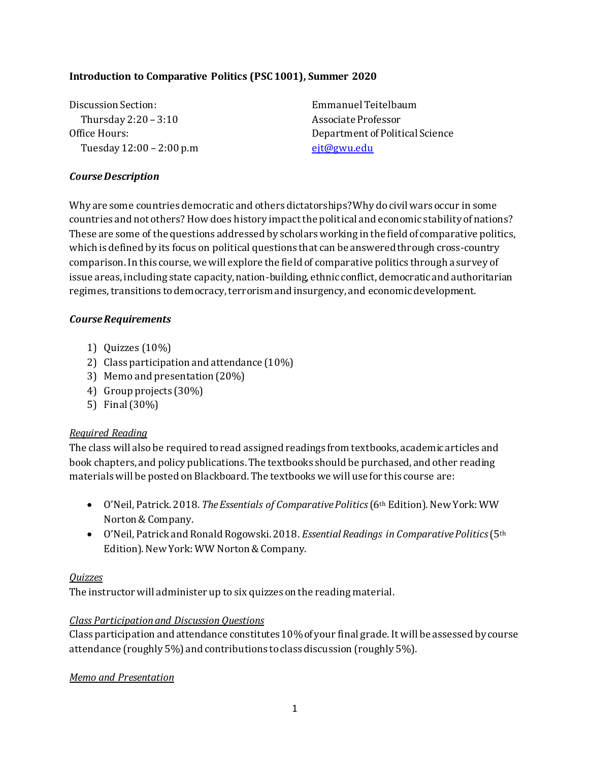#### **Introduction to Comparative Politics (PSC 1001), Summer 2020**

Discussion Section: Emmanuel Teitelbaum Thursday 2:20 – 3:10 Associate Professor Tuesday 12:00 – 2:00 p.m eit@gwu.edu

Office Hours: Department of Political Science

#### *Course Description*

Why are some countries democratic and others dictatorships? Why do civil wars occur in some countries and not others? How does history impact the political and economic stability of nations? These are some of the questions addressed by scholars working in the field of comparative politics, which is defined by its focus on political questions that can be answered through cross-country comparison. In this course, we will explore the field of comparative politics through a survey of issue areas, including state capacity, nation-building, ethnic conflict, democratic and authoritarian regimes, transitions to democracy, terrorism and insurgency, and economic development.

#### *Course Requirements*

- 1) Quizzes (10%)
- 2) Class participation and attendance (10%)
- 3) Memo and presentation (20%)
- 4) Group projects (30%)
- 5) Final (30%)

#### *Required Reading*

The class will also be required to read assigned readings from textbooks, academic articles and book chapters, and policy publications. The textbooks should be purchased, and other reading materialswill be posted on Blackboard. The textbookswe will use for this course are:

- O'Neil, Patrick. 2018. *The Essentials of Comparative Politics* (6<sup>th</sup> Edition). New York: WW Norton & Company.
- O'Neil, Patrick and Ronald Rogowski. 2018. *Essential Readings in Comparative Politics* (5th Edition). New York: WW Norton & Company.

#### *Quizzes*

The instructor will administer up to six quizzes on the reading material.

#### *Class Participationand Discussion Questions*

Class participation and attendance constitutes 10% of your final grade. It will be assessed by course attendance (roughly 5%) and contributions to class discussion (roughly 5%).

#### *Memo and Presentation*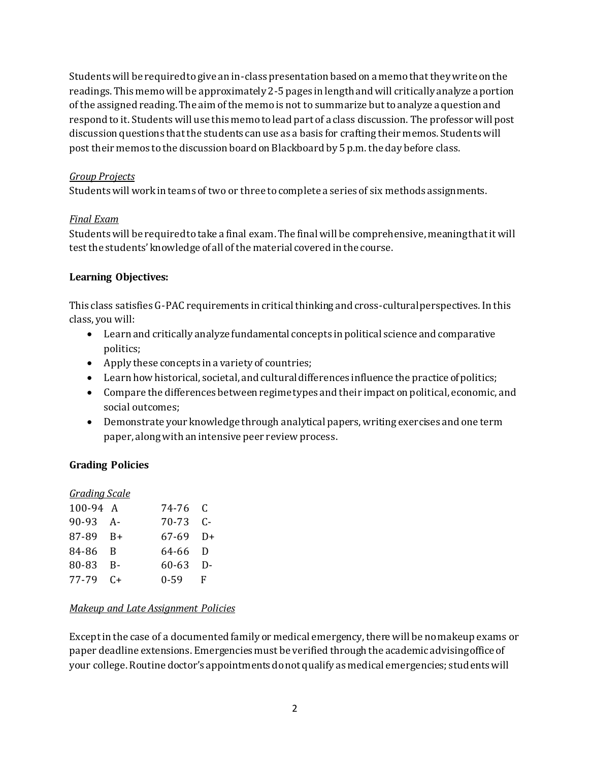Students will be required to give an in-class presentation based on a memo that they write on the readings. This memo will be approximately 2-5 pages in length and will critically analyze a portion of the assigned reading. The aim of the memois not to summarize but to analyze a question and respond to it. Students will use this memo to lead part of a class discussion. The professor will post discussion questions that the students can use as a basis for crafting their memos. Students will post their memos to the discussion board on Blackboard by 5 p.m. the day before class.

#### *Group Projects*

Students will work in teams of two or three to complete a series of six methods assignments.

#### *Final Exam*

Students will be required to take a final exam. The final will be comprehensive, meaning that it will test the students' knowledge of all of the material covered in the course.

#### **Learning Objectives:**

This class satisfies G-PAC requirements in critical thinking and cross-cultural perspectives. In this class, you will:

- Learn and critically analyze fundamental concepts in political science and comparative politics;
- Apply these concepts in a variety of countries;
- Learn how historical, societal, and cultural differences influence the practice of politics;
- Compare the differences between regime types and their impact on political, economic, and social outcomes;
- Demonstrate your knowledge through analytical papers, writing exercises and one term paper, along with an intensive peer review process.

## **Grading Policies**

| <b>Grading Scale</b> |           |           |          |
|----------------------|-----------|-----------|----------|
| 100-94 A             |           | 74-76 C   |          |
| 90-93 A-             |           | 70-73     | $C -$    |
| $87-89$ B+           |           | 67-69     | $D+$     |
| 84-86                | - B       | 64-66     | - D      |
| 80-83                | $R -$     | $60 - 63$ | $\Gamma$ |
| 77-79                | $C_{\pm}$ | $0 - 59$  | F        |

#### *Makeup and Late Assignment Policies*

Except in the case of a documented family or medical emergency, there will be no makeup exams or paper deadline extensions. Emergencies must be verified through the academic advising office of your college. Routine doctor's appointments do not qualify as medical emergencies; students will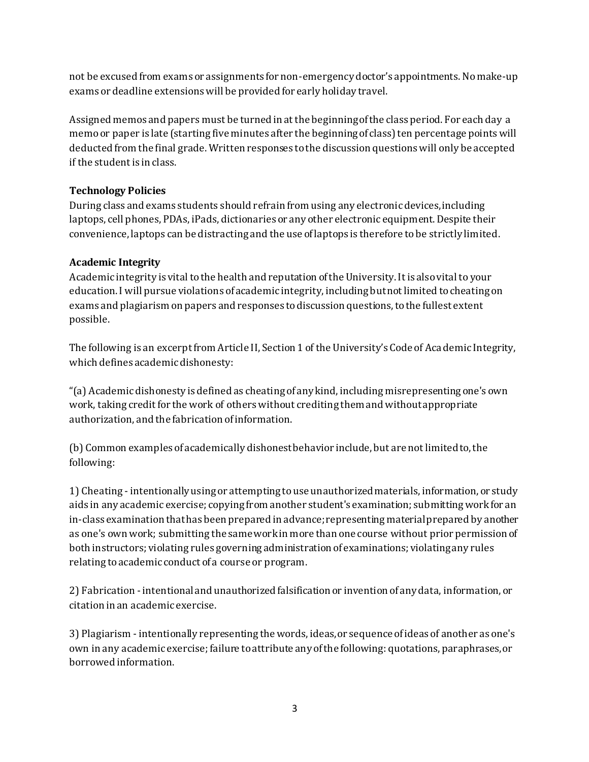not be excused from exams or assignments for non-emergency doctor's appointments. No make-up exams or deadline extensions will be provided for early holiday travel.

Assigned memos and papers must be turned in at the beginning of the class period. For each day a memo or paper is late (starting five minutes after the beginning of class) ten percentage points will deducted from the final grade. Written responses to the discussion questions will only be accepted if the student is in class.

## **Technology Policies**

During class and exams students should refrain from using any electronic devices, including laptops, cell phones, PDAs, iPads, dictionaries or any other electronic equipment. Despite their convenience, laptops can be distracting and the use of laptops is therefore to be strictly limited.

# **Academic Integrity**

Academic integrity is vital to the health and reputation of the University. It is also vital to your education. I will pursue violations of academic integrity, including but not limited to cheating on exams and plagiarism on papers and responses to discussion questions, to the fullest extent possible.

The following is an excerpt from Article II, Section 1 of the University's Code of Academic Integrity, which defines academic dishonesty:

"(a) Academic dishonesty is defined as cheating of any kind, including misrepresenting one's own work, taking credit for the work of others without crediting them and without appropriate authorization, and the fabrication of information.

(b) Common examples of academically dishonest behavior include, but are not limited to, the following:

1) Cheating - intentionally using or attempting to use unauthorized materials, information, or study aids in any academic exercise; copying from another student's examination; submitting work for an in-class examination that has been prepared in advance; representing material prepared by another as one's own work; submitting the same work in more than one course without prior permission of both instructors; violating rules governing administration of examinations; violating any rules relating to academic conduct of a course or program.

2) Fabrication - intentional and unauthorized falsification or invention of any data, information, or citation in an academic exercise.

3) Plagiarism - intentionally representing the words, ideas, or sequence of ideas of another as one's own in any academic exercise; failure to attribute any of the following: quotations, paraphrases, or borrowed information.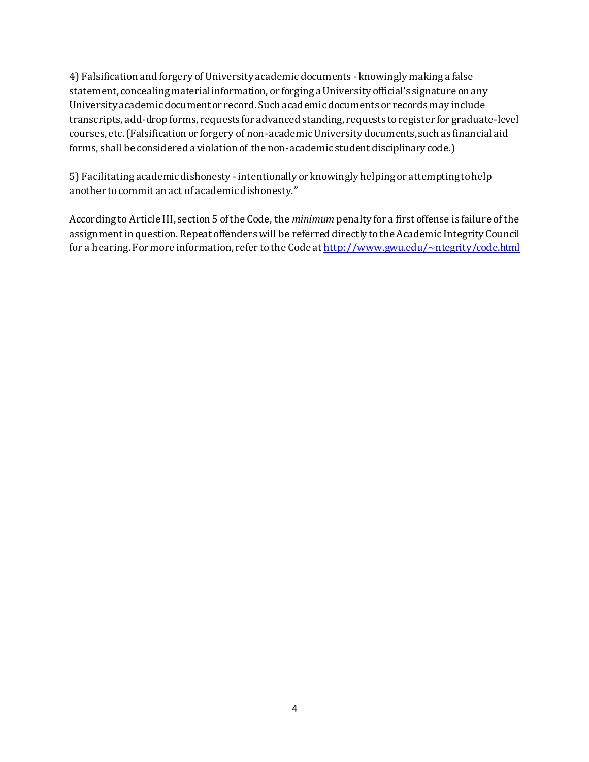4) Falsification and forgery of University academic documents - knowingly making a false statement, concealing material information, or forging a University official's signature on any University academic document or record. Such academic documents or records may include transcripts, add-drop forms, requests for advanced standing, requests to register for graduate-level courses, etc. (Falsification or forgery of non-academic University documents, such as financial aid forms, shall be considered a violation of the non-academic student disciplinary code.)

5) Facilitating academic dishonesty - intentionally or knowingly helping or attempting to help another to commit an act of academic dishonesty."

According to Article III, section 5 of the Code, the *minimum* penalty for a first offense is failure of the assignment in question. Repeat offenders will be referred directly to the Academic Integrity Council for a hearing. For more information, refer to the Code a[t http://www.gwu.edu/~ntegrity/code.html](http://www.gwu.edu/~ntegrity/code.html)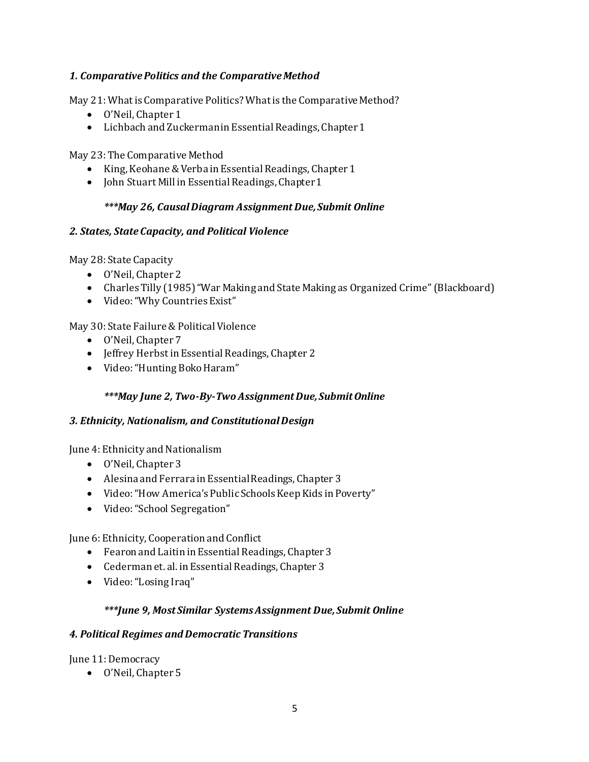## *1. Comparative Politics and the Comparative Method*

May 21: What is Comparative Politics? What is the Comparative Method?

- O'Neil, Chapter 1
- Lichbach and Zuckerman in Essential Readings, Chapter 1

May 23: The Comparative Method

- King, Keohane & Verba in Essential Readings, Chapter 1
- John Stuart Mill in Essential Readings, Chapter 1

## *\*\*\*May 26, Causal Diagram Assignment Due, Submit Online*

## *2. States, State Capacity, and Political Violence*

May 28: State Capacity

- O'Neil, Chapter 2
- Charles Tilly (1985) "War Making and State Making as Organized Crime" (Blackboard)
- Video: "Why Countries Exist"

# May 30: State Failure & Political Violence

- O'Neil, Chapter 7
- Jeffrey Herbst in Essential Readings, Chapter 2
- Video: "Hunting Boko Haram"

## *\*\*\*May June 2, Two-By-Two Assignment Due, Submit Online*

## *3. Ethnicity, Nationalism, and Constitutional Design*

June 4: Ethnicity and Nationalism

- O'Neil, Chapter 3
- Alesina and Ferrara in Essential Readings, Chapter 3
- Video: "How America's Public Schools Keep Kids in Poverty"
- Video: "School Segregation"

June 6: Ethnicity, Cooperation and Conflict

- Fearon and Laitin in Essential Readings, Chapter 3
- Cederman et. al. in Essential Readings, Chapter 3
- Video: "Losing Iraq"

## *\*\*\*June 9, Most Similar Systems Assignment Due, Submit Online*

## *4. Political Regimes and Democratic Transitions*

June 11: Democracy

O'Neil, Chapter 5